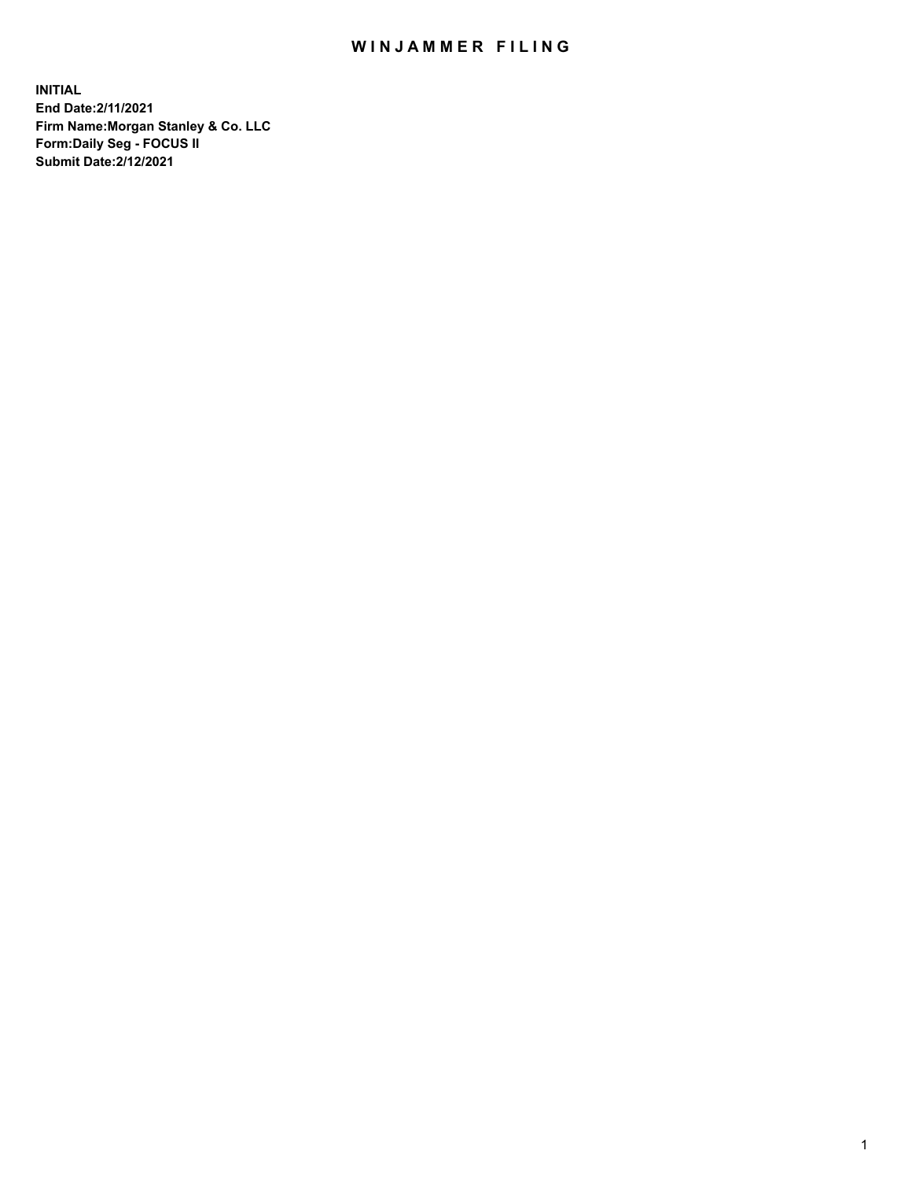## WIN JAMMER FILING

**INITIAL End Date:2/11/2021 Firm Name:Morgan Stanley & Co. LLC Form:Daily Seg - FOCUS II Submit Date:2/12/2021**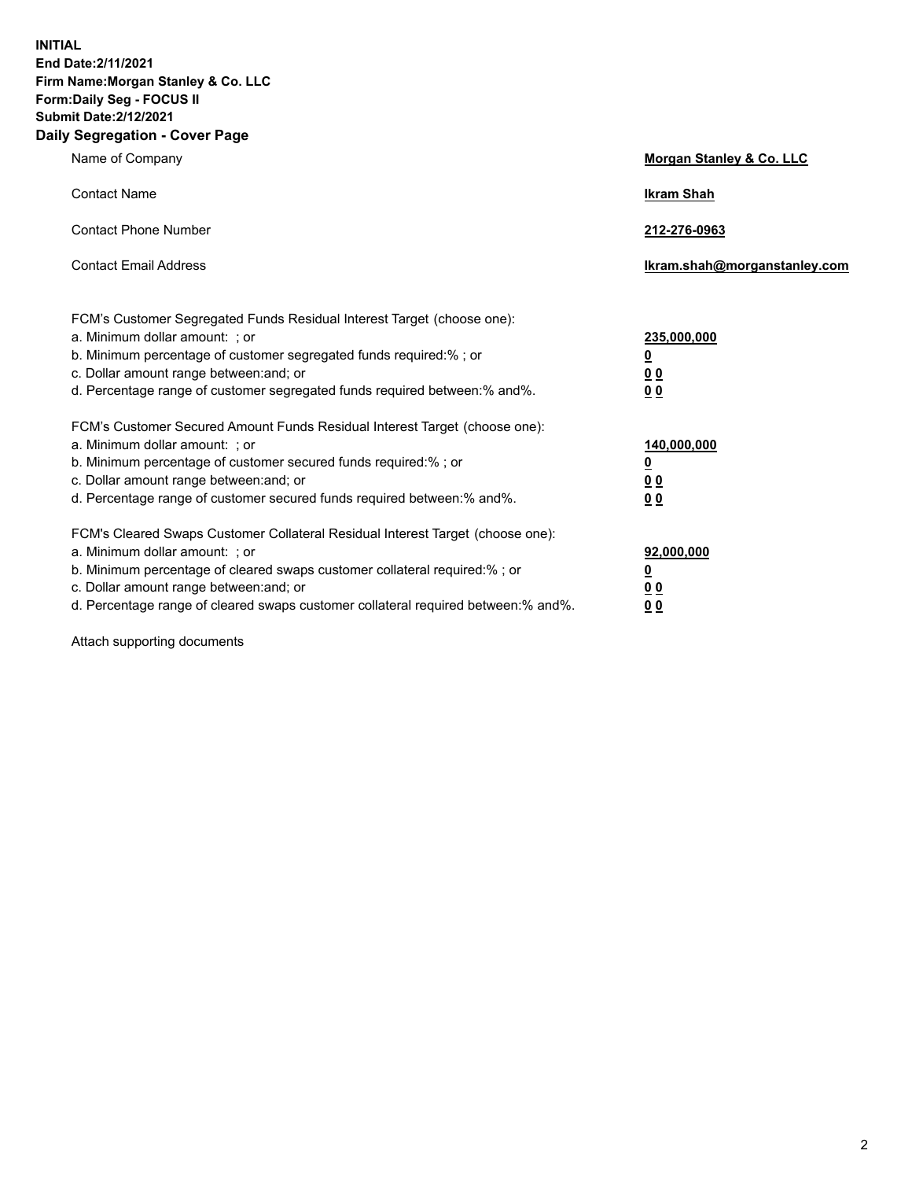**INITIAL End Date:2/11/2021 Firm Name:Morgan Stanley & Co. LLC Form:Daily Seg - FOCUS II Submit Date:2/12/2021 Daily Segregation - Cover Page**

| Name of Company                                                                                                                                                                                                                                                                                                               | Morgan Stanley & Co. LLC                               |
|-------------------------------------------------------------------------------------------------------------------------------------------------------------------------------------------------------------------------------------------------------------------------------------------------------------------------------|--------------------------------------------------------|
| <b>Contact Name</b>                                                                                                                                                                                                                                                                                                           | <b>Ikram Shah</b>                                      |
| <b>Contact Phone Number</b>                                                                                                                                                                                                                                                                                                   | 212-276-0963                                           |
| <b>Contact Email Address</b>                                                                                                                                                                                                                                                                                                  | Ikram.shah@morganstanley.com                           |
| FCM's Customer Segregated Funds Residual Interest Target (choose one):<br>a. Minimum dollar amount: ; or<br>b. Minimum percentage of customer segregated funds required:% ; or<br>c. Dollar amount range between: and; or<br>d. Percentage range of customer segregated funds required between:% and%.                        | 235,000,000<br><u>0</u><br><u>00</u><br>0 <sup>0</sup> |
| FCM's Customer Secured Amount Funds Residual Interest Target (choose one):<br>a. Minimum dollar amount: ; or<br>b. Minimum percentage of customer secured funds required:%; or<br>c. Dollar amount range between: and; or<br>d. Percentage range of customer secured funds required between:% and%.                           | 140,000,000<br><u>0</u><br><u>00</u><br>0 <sub>0</sub> |
| FCM's Cleared Swaps Customer Collateral Residual Interest Target (choose one):<br>a. Minimum dollar amount: ; or<br>b. Minimum percentage of cleared swaps customer collateral required:%; or<br>c. Dollar amount range between: and; or<br>d. Percentage range of cleared swaps customer collateral required between:% and%. | 92,000,000<br><u>0</u><br>0 Q<br>00                    |

Attach supporting documents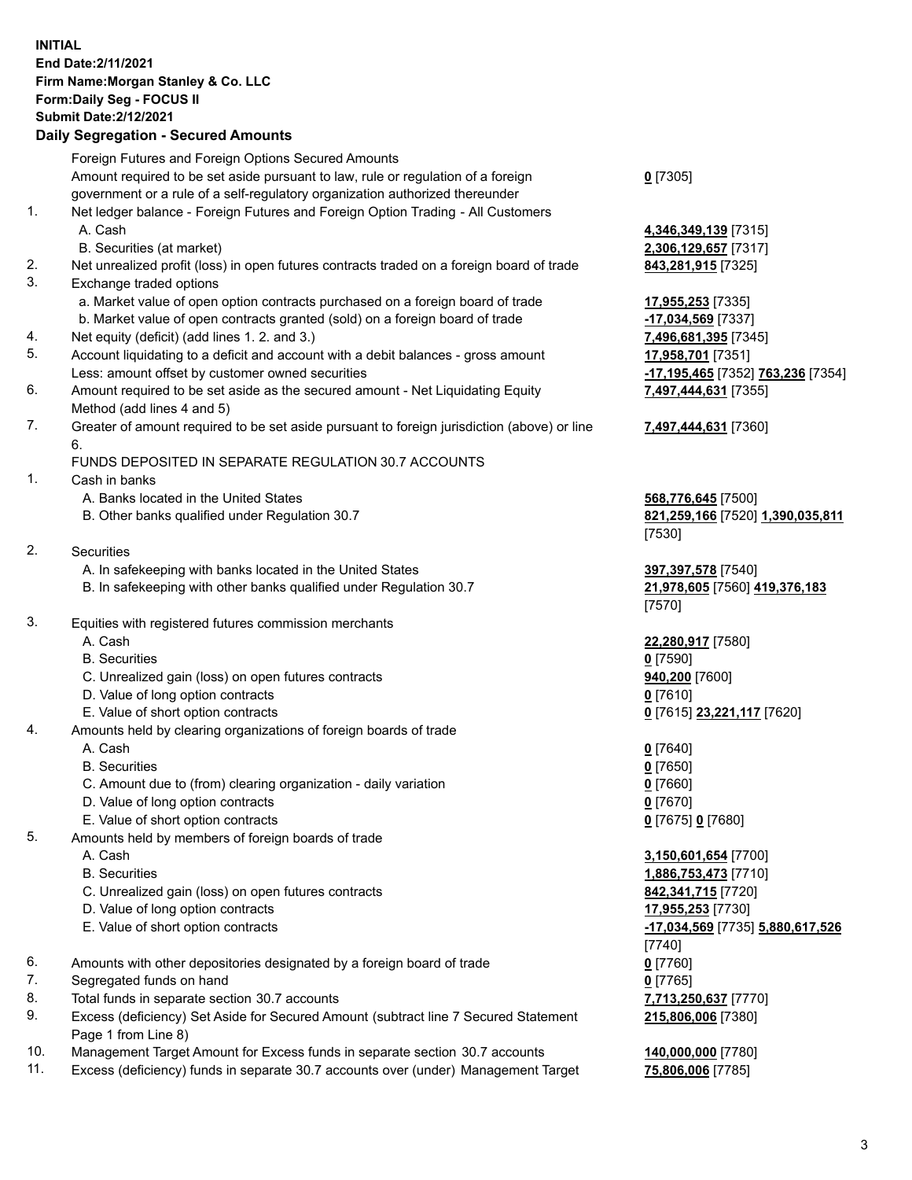## **INITIAL End Date:2/11/2021 Firm Name:Morgan Stanley & Co. LLC Form:Daily Seg - FOCUS II Submit Date:2/12/2021**

## **Daily Segregation - Secured Amounts**

Foreign Futures and Foreign Options Secured Amounts Amount required to be set aside pursuant to law, rule or regulation of a foreign government or a rule of a self-regulatory organization authorized thereunder 1. Net ledger balance - Foreign Futures and Foreign Option Trading - All Customers A. Cash **4,346,349,139** [7315] B. Securities (at market) **2,306,129,657** [7317] 2. Net unrealized profit (loss) in open futures contracts traded on a foreign board of trade **843,281,915** [7325] 3. Exchange traded options a. Market value of open option contracts purchased on a foreign board of trade **17,955,253** [7335] b. Market value of open contracts granted (sold) on a foreign board of trade **-17,034,569** [7337] 4. Net equity (deficit) (add lines 1. 2. and 3.) **7,496,681,395** [7345] 5. Account liquidating to a deficit and account with a debit balances - gross amount **17,958,701** [7351] Less: amount offset by customer owned securities **-17,195,465** [7352] **763,236** [7354] 6. Amount required to be set aside as the secured amount - Net Liquidating Equity Method (add lines 4 and 5) 7. Greater of amount required to be set aside pursuant to foreign jurisdiction (above) or line 6. FUNDS DEPOSITED IN SEPARATE REGULATION 30.7 ACCOUNTS 1. Cash in banks A. Banks located in the United States **568,776,645** [7500] B. Other banks qualified under Regulation 30.7 **821,259,166** [7520] **1,390,035,811** 2. Securities A. In safekeeping with banks located in the United States **397,397,578** [7540] B. In safekeeping with other banks qualified under Regulation 30.7 **21,978,605** [7560] **419,376,183** 3. Equities with registered futures commission merchants A. Cash **22,280,917** [7580] B. Securities **0** [7590] C. Unrealized gain (loss) on open futures contracts **940,200** [7600] D. Value of long option contracts **0** [7610] E. Value of short option contracts **0** [7615] **23,221,117** [7620] 4. Amounts held by clearing organizations of foreign boards of trade A. Cash **0** [7640] B. Securities **0** [7650] C. Amount due to (from) clearing organization - daily variation **0** [7660] D. Value of long option contracts **0** [7670] E. Value of short option contracts **0** [7675] **0** [7680] 5. Amounts held by members of foreign boards of trade A. Cash **3,150,601,654** [7700] B. Securities **1,886,753,473** [7710] C. Unrealized gain (loss) on open futures contracts **842,341,715** [7720] D. Value of long option contracts **17,955,253** [7730] E. Value of short option contracts **-17,034,569** [7735] **5,880,617,526** 6. Amounts with other depositories designated by a foreign board of trade **0** [7760] 7. Segregated funds on hand **0** [7765] 8. Total funds in separate section 30.7 accounts **7,713,250,637** [7770] 9. Excess (deficiency) Set Aside for Secured Amount (subtract line 7 Secured Statement

- Page 1 from Line 8)
- 10. Management Target Amount for Excess funds in separate section 30.7 accounts **140,000,000** [7780]
- 11. Excess (deficiency) funds in separate 30.7 accounts over (under) Management Target **75,806,006** [7785]

**0** [7305]

**7,497,444,631** [7355]

## **7,497,444,631** [7360]

[7530]

[7570]

[7740] **215,806,006** [7380]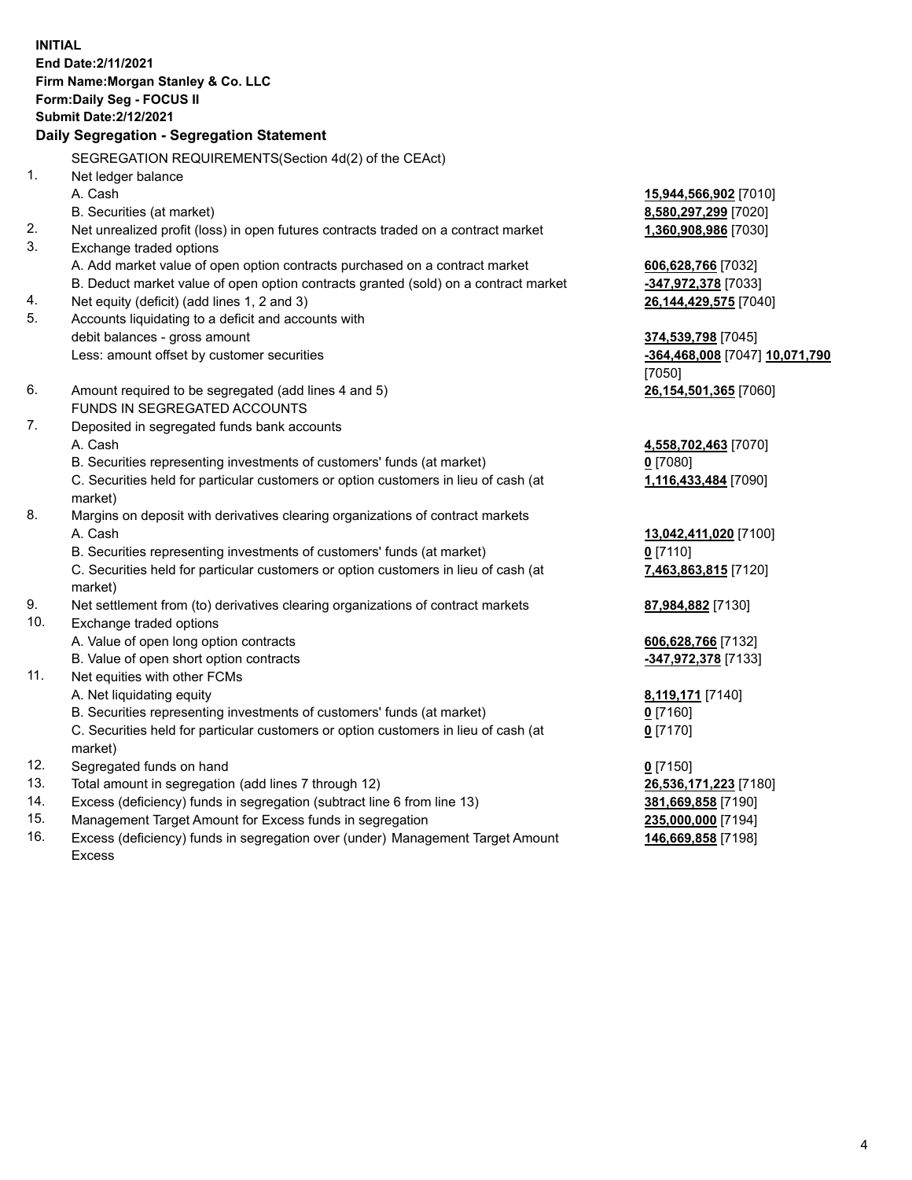**INITIAL End Date:2/11/2021 Firm Name:Morgan Stanley & Co. LLC Form:Daily Seg - FOCUS II Submit Date:2/12/2021 Daily Segregation - Segregation Statement** SEGREGATION REQUIREMENTS(Section 4d(2) of the CEAct) 1. Net ledger balance A. Cash **15,944,566,902** [7010] B. Securities (at market) **8,580,297,299** [7020] 2. Net unrealized profit (loss) in open futures contracts traded on a contract market **1,360,908,986** [7030] 3. Exchange traded options A. Add market value of open option contracts purchased on a contract market **606,628,766** [7032] B. Deduct market value of open option contracts granted (sold) on a contract market **-347,972,378** [7033] 4. Net equity (deficit) (add lines 1, 2 and 3) **26,144,429,575** [7040] 5. Accounts liquidating to a deficit and accounts with debit balances - gross amount **374,539,798** [7045] Less: amount offset by customer securities **-364,468,008** [7047] **10,071,790** [7050] 6. Amount required to be segregated (add lines 4 and 5) **26,154,501,365** [7060] FUNDS IN SEGREGATED ACCOUNTS 7. Deposited in segregated funds bank accounts A. Cash **4,558,702,463** [7070] B. Securities representing investments of customers' funds (at market) **0** [7080] C. Securities held for particular customers or option customers in lieu of cash (at market) **1,116,433,484** [7090] 8. Margins on deposit with derivatives clearing organizations of contract markets A. Cash **13,042,411,020** [7100] B. Securities representing investments of customers' funds (at market) **0** [7110] C. Securities held for particular customers or option customers in lieu of cash (at market) **7,463,863,815** [7120] 9. Net settlement from (to) derivatives clearing organizations of contract markets **87,984,882** [7130] 10. Exchange traded options A. Value of open long option contracts **606,628,766** [7132] B. Value of open short option contracts **-347,972,378** [7133] 11. Net equities with other FCMs A. Net liquidating equity **8,119,171** [7140] B. Securities representing investments of customers' funds (at market) **0** [7160] C. Securities held for particular customers or option customers in lieu of cash (at market) **0** [7170] 12. Segregated funds on hand **0** [7150] 13. Total amount in segregation (add lines 7 through 12) **26,536,171,223** [7180] 14. Excess (deficiency) funds in segregation (subtract line 6 from line 13) **381,669,858** [7190] 15. Management Target Amount for Excess funds in segregation **235,000,000** [7194]

- 16. Excess (deficiency) funds in segregation over (under) Management Target Amount
	- Excess

**146,669,858** [7198]